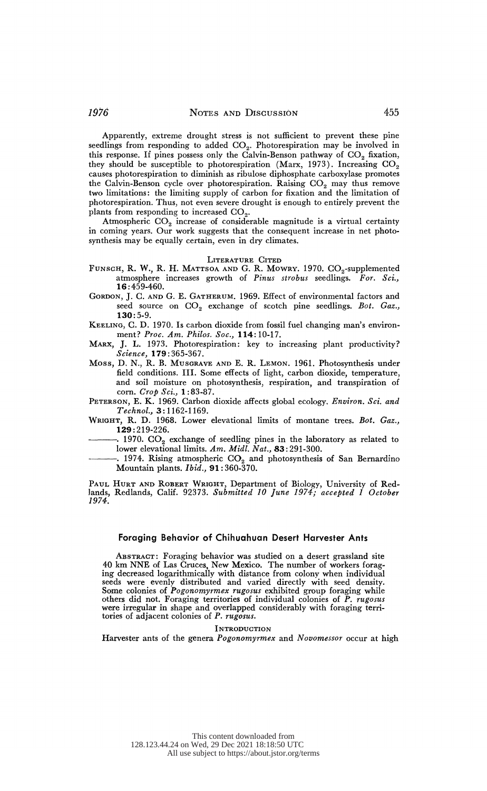Apparently, extreme drought stress is not sufficient to prevent these pine seedlings from responding to added  $CO<sub>2</sub>$ . Photorespiration may be involved in this response. If pines possess only the Calvin-Benson pathway of  $CO<sub>2</sub>$  fixation, they should be susceptible to photorespiration (Marx, 1973). Increasing  $CO_2$ 

 causes photorespiration to diminish as ribulose diphosphate carboxylase promotes the Calvin-Benson cycle over photorespiration. Raising  $CO<sub>2</sub>$  may thus remove two limitations: the limiting supply of carbon for fixation and the limitation of photorespiration. Thus, not even severe drought is enough to entirely prevent the plants from responding to increased  $CO<sub>2</sub>$ .

Atmospheric  $CO<sub>2</sub>$  increase of considerable magnitude is a virtual certainty in coming years. Our work suggests that the consequent increase in net photosynthesis may be equally certain, even in dry climates.

#### LITERATURE CITED

- FUNSCH, R. W., R. H. MATTSOA AND G. R. MOWRY. 1970. CO<sub>2</sub>-supplemented atmosphere increases growth of Pinus strobus seedlings. For. Sci., 16:459-460.
- GORDON, J. C. AND G. E. GATHERUM. 1969. Effect of environmental factors and seed source on CO<sub>2</sub> exchange of scotch pine seedlings. Bot. Gaz., 1.30:5-9.

 KEELING, C. D. 1970. Is carbon dioxide from fossil fuel changing man's environ ment? Proc. Am. Philos. Soc., 114:10-17.

 MARX, J. L. 1973. Photorespiration: key to increasing plant productivity? Science, 179:365-367.

 Moss, D. N., R. B. MUSGRAVE AND E. R. LEMON. 1961. Photosynthesis under field conditions. III. Some effects of light, carbon dioxide, temperature, and soil moisture on photosynthesis, respiration, and transpiration of corn. Crop Sci., 1:83-87.

PETERSON, E. K. 1969. Carbon dioxide affects global ecology. Environ. Sci. and Technol., 3: 1162-1169.

 WRIGHT, R. D. 1968. Lower elevational limits of montane trees. Bot. Gaz., 129:219-226.

. 1970.  $\mathrm{CO}_2$  exchange of seedling pines in the laboratory as related to lower elevational limits. Am. Midl. Nat., 83:291-300.

-. 1974. Rising atmospheric  $CO<sub>2</sub>$  and photosynthesis of San Bernardino Mountain plants. Ibid., 91: 360-370.

 PAUL HURT AND ROBERT WRIGHT, Department of Biology, University of Red lands, Redlands, Calif. 92373. Submitted 10 June 1974; accepted 1 October 1974.

# Foraging Behavior of Chihuahuan Desert Harvester Ants

 ABSTRACT: Foraging behavior was studied on a desert grassland site 40 km NNE of Las Cruces, New Mexico. The number of workers forag- ing decreased logarithmically with distance from colony when individual seeds were evenly distributed and varied directly with seed density. Some colonies of Pogonomyrmex rugosus exhibited group foraging while others did not. Foraging territories of individual colonies of P. rugosus were irregular in shape and overlapped considerably with foraging terri tories of adjacent colonies of P. rugosus.

### INTRODUCTION

Harvester ants of the genera Pogonomyrmex and Novomessor occur at high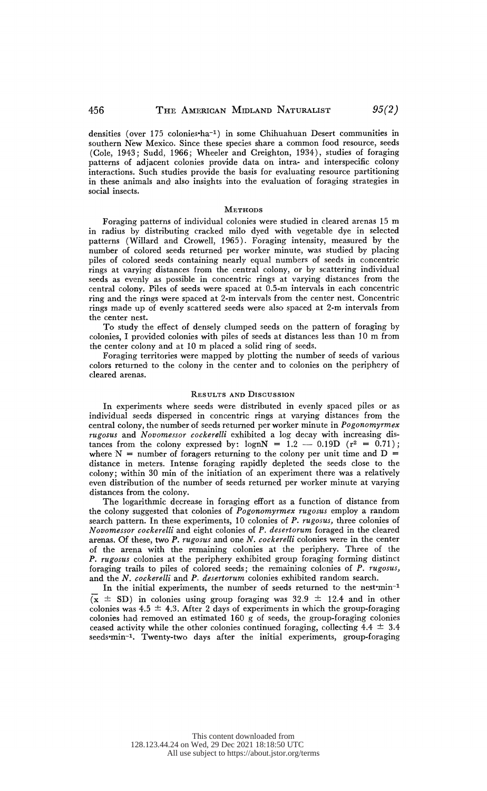densities (over 175 colonies-ha-') in some Chihuahuan Desert communities in southern New Mexico. Since these species share a common food resource, seeds (Cole, 1943; Sudd, 1966; Wheeler and Creighton, 1934), studies of foraging patterns of adjacent colonies provide data on intra- and interspecific colony interactions. Such studies provide the basis for evaluating resource partitioning in these animals and, also insights into the evaluation of foraging strategies in social insects.

#### **METHODS**

 Foraging patterns of individual colonies were studied in cleared arenas 15 m in radius by distributing cracked milo dyed with vegetable dye in selected patterns (Willard and Crowell, 1965). Foraging intensity, measured by the number of colored seeds returned per worker minute, was studied by placing piles of colored seeds containing nearly equal numbers of seeds in concentric rings at varying distances from the central colony, or by scattering individual seeds as evenly as possible in concentric rings at varying distances from the central colony. Piles of seeds were spaced at  $0.5$ -m intervals in each concentric ring and the rings were spaced at 2-m intervals from the center nest. Concentric rings made up of evenly scattered seeds were also spaced at 2-m intervals from the center nest.

 To study the effect of densely clumped seeds on the pattern of foraging by colonies, I provided colonies with piles of seeds at distances less than 10 m from the center colony and at 10 m placed a solid ring of seeds.

 Foraging territories were mapped by plotting the number of seeds of various colors returned; to the colony in the center and to colonies on the periphery of cleared arenas.

## RESULTS AND DIscusSION

 In experiments where seeds were distributed in evenly spaced piles or as individual seeds dispersed in concentric rings at varying distances from the central colony, the number of seeds returned per worker minute in Pogonomyrmex rugosus and Novomessor cockerelli exhibited a log decay with increasing dis tances from the colony expressed by: lognN =  $1.2 - 0.19D$  ( $r^2 = 0.71$ ); where  $N =$  number of foragers returning to the colony per unit time and  $D =$  distance in meters. Intense foraging rapidly depleted the seeds close to the colony; within 30 min of the initiation of an experiment there was a relatively even distribution of the number of seeds returned per worker minute at varying distances from the colony.

 The logarithmic decrease in foraging effort as a function of distance from the colony suggested that colonies of Pogonomyrmex rugosus employ a random search pattern. In these experiments, 10 colonies of P. rugosus, three colonies of Novomessor cockerelli and eight colonies of P. desertorum foraged in the cleared arenas. Of these, two P. rugosus and one N. cockerelli colonies were in the center of the arena with the remaining colonies at the periphery. Three of the P. rugosus colonies at the periphery exhibited group foraging forming distinct foraging trails to piles of colored seeds; the remaining colonies of P. rugosus, and the N. cockerelli and P. desertorum colonies exhibited random search.

In the initial experiments, the number of seeds returned to the nest-min-1  $(\bar{x} \pm SD)$  in colonies using group foraging was 32.9  $\pm$  12.4 and in other colonies was  $4.5 \pm 4.3$ . After 2 days of experiments in which the group-foraging colonies had removed an estimated 160 g of seeds, the group-foraging colonies ceased activity while the other colonies continued foraging, collecting  $4.4 \pm 3.4$ seeds-min-'. Twenty-two days after the initial experiments, group-foraging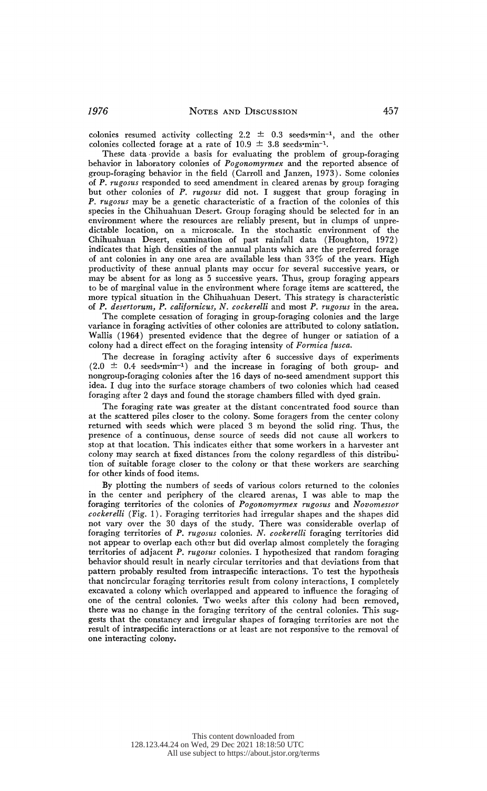colonies resumed activity collecting 2.2  $\pm$  0.3 seeds-min-1, and the other colonies collected forage at a rate of  $10.9 \pm 3.8$  seeds-min<sup>-1</sup>.

 These data provide a basis for evaluating the problem of group-foraging behavior in laboratory colonies of Pogonomyrmex and the reported absence of group-foraging behavior in the field (Carroll and Janzen, 1973). Some colonies of P. rugosus responded to seed amendment in cleared arenas by group foraging but other colonies of P. rugosus did not. I suggest that group foraging in P. rugosus may be a genetic characteristic of a fraction of the colonies of this species in the Chihuahuan Desert. Group foraging should be selected for in an environment where the resources are reliably present, but in clumps of unpre dictable location, on a inicroscale. In the stochastic environment of the Chihuahuan Desert, examination of past rainfall data (Houghton, 1972) indicates that high densities of the annual plants which are the preferred forage of ant colonies in any one area are available less than 33% of the years. High productivity of these annual plants may occur for several successive years, or may be absent for as long as 5 successive years. Thus, group foraging appears to be of marginal value in the environment where forage items are scattered, the more typical situation in the Chihuahuan Desert. This strategy is characteristic of P. desertorum, P. californicus, N. cockerelli and most P. rugosus in the area.

 The complete cessation of foraging in group-foraging colonies and the large variance in foraging activities of other colonies are attributed to colony satiation. Wallis (1964) presented evidence that the degree of hunger or satiation of a colony had a direct effect on the foraging intensity of Formica fusca.

 The decrease in foraging activity after 6 successive days of experiments  $(2.0 \pm 0.4 \text{ seeds/min}^{-1})$  and the increase in foraging of both group- and nongroup-foraging colonies after the 16 days of no-seed amendment support this idea. I dug into the surface storage chambers of two colonies which had ceased foraging after 2 days and found the storage chambers filled with dyed grain.

 The foraging rate was greater at the distant concentrated food source than at the scattered piles closer to the colony. Some foragers from the center colony returned with seeds which were placed 3 m beyond the solid ring. Thus, the presence of a continuous, dense source of seeds did not cause all workers to stop at that location. This indicates either that some workers in a harvester ant colony may search at fixed distances from the colony regardless of this distribu tion of suitable forage closer to the colony or that these workers are searching for other kinds of food items.

 By plotting the numbers of seeds of various colors returned to the colonies in the center and periphery of the cleared arenas, I was able to map the foraging territories of the colonies of Pogonomyrmex rugosus and Novomessor cockerelli (Fig. 1). Foraging territories had irregular shapes and the shapes did not vary over the 30 days of the study. There was considerable overlap of foraging territories of P. rugosus colonies. N. cockerelli foraging territories did not appear to overlap each other but did overlap almost completely the foraging territories of adjacent P. rugosus colonies. I hypothesized that random foraging behavior should result in nearly circular territories and that deviations from that pattem probably resulted from intraspecific interactions. To test the hypothesis that noncircular foraging territories result from colony interactions, I completely excavated a colony which overlapped and appeared to influence the foraging of one of the central colonies. Two weeks after this colony had been removed, there was no change in the foraging territory of the central colonies. This sug gests that the constancy and irregular shapes of foraging territories are not the result of intraspecific interactions or at least are not responsive to the removal of one interacting colony.